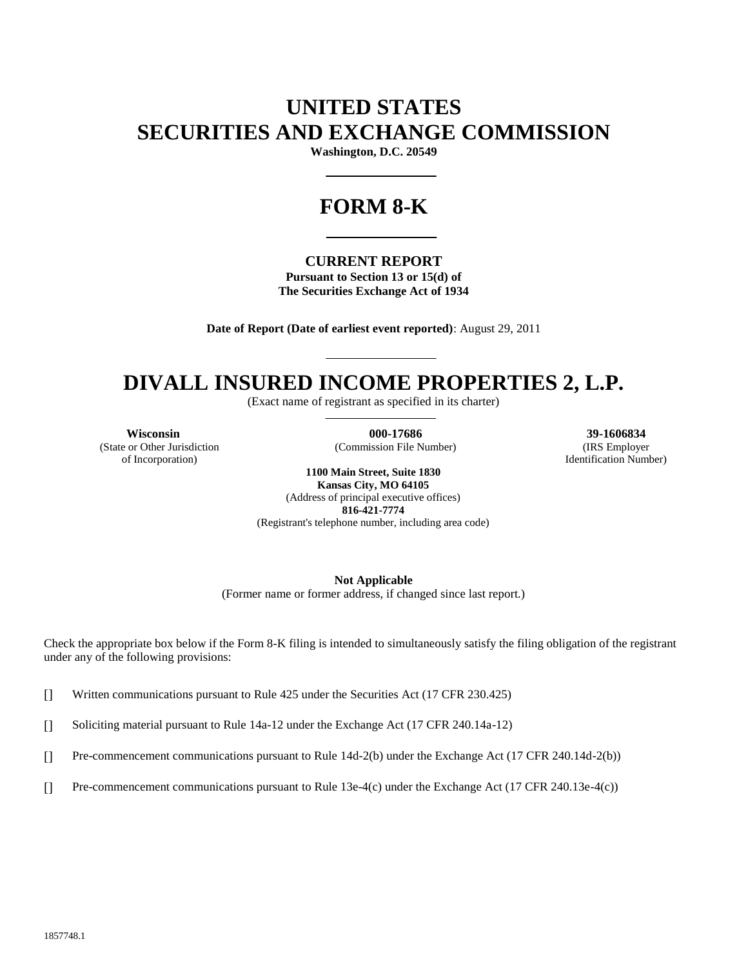# **UNITED STATES SECURITIES AND EXCHANGE COMMISSION**

**Washington, D.C. 20549**

# **FORM 8-K**

#### **CURRENT REPORT**

**Pursuant to Section 13 or 15(d) of The Securities Exchange Act of 1934**

**Date of Report (Date of earliest event reported)**: August 29, 2011

# **DIVALL INSURED INCOME PROPERTIES 2, L.P.**

(Exact name of registrant as specified in its charter)

(State or Other Jurisdiction of Incorporation)

**Wisconsin**<br> **000-17686 39-1606834**<br> **100-17686 39-1606834**<br> **100-17686 39-1606834**<br> **100-17686 39-1606834 100-17686 100-17686 100-17686** (Commission File Number)

Identification Number)

**1100 Main Street, Suite 1830 Kansas City, MO 64105** (Address of principal executive offices)

**816-421-7774**

(Registrant's telephone number, including area code)

**Not Applicable**

(Former name or former address, if changed since last report.)

Check the appropriate box below if the Form 8-K filing is intended to simultaneously satisfy the filing obligation of the registrant under any of the following provisions:

[] Written communications pursuant to Rule 425 under the Securities Act (17 CFR 230.425)

[] Soliciting material pursuant to Rule 14a-12 under the Exchange Act (17 CFR 240.14a-12)

[] Pre-commencement communications pursuant to Rule 14d-2(b) under the Exchange Act (17 CFR 240.14d-2(b))

[] Pre-commencement communications pursuant to Rule 13e-4(c) under the Exchange Act (17 CFR 240.13e-4(c))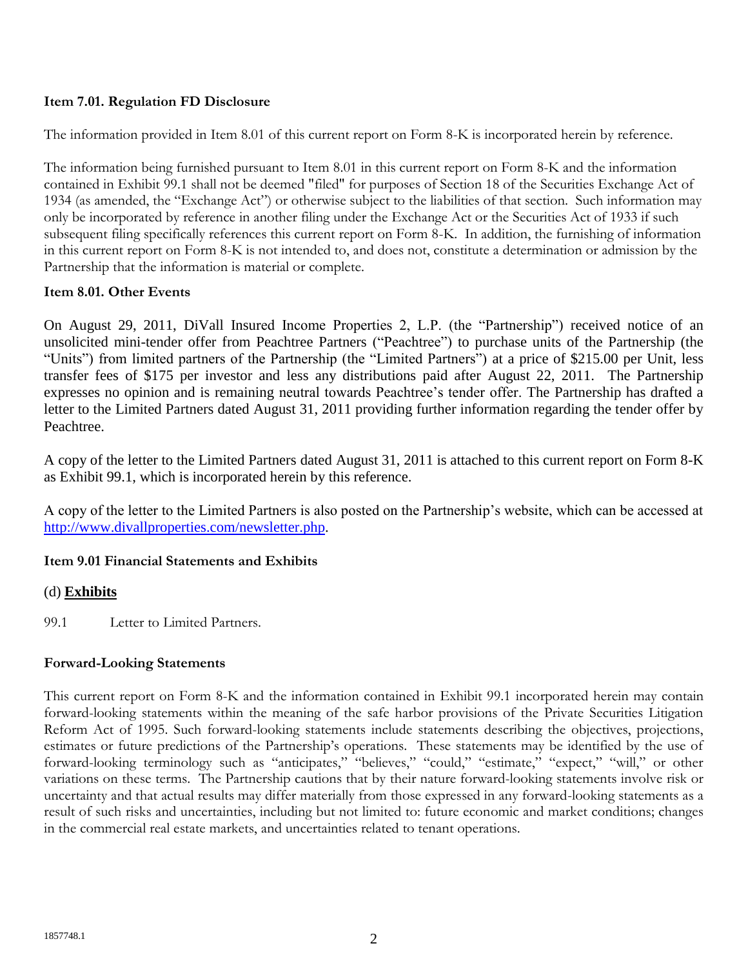## **Item 7.01. Regulation FD Disclosure**

The information provided in Item 8.01 of this current report on Form 8-K is incorporated herein by reference.

The information being furnished pursuant to Item 8.01 in this current report on Form 8-K and the information contained in Exhibit 99.1 shall not be deemed "filed" for purposes of Section 18 of the Securities Exchange Act of 1934 (as amended, the "Exchange Act") or otherwise subject to the liabilities of that section. Such information may only be incorporated by reference in another filing under the Exchange Act or the Securities Act of 1933 if such subsequent filing specifically references this current report on Form 8-K. In addition, the furnishing of information in this current report on Form 8-K is not intended to, and does not, constitute a determination or admission by the Partnership that the information is material or complete.

#### **Item 8.01. Other Events**

On August 29, 2011, DiVall Insured Income Properties 2, L.P. (the "Partnership") received notice of an unsolicited mini-tender offer from Peachtree Partners ("Peachtree") to purchase units of the Partnership (the "Units") from limited partners of the Partnership (the "Limited Partners") at a price of \$215.00 per Unit, less transfer fees of \$175 per investor and less any distributions paid after August 22, 2011. The Partnership expresses no opinion and is remaining neutral towards Peachtree's tender offer. The Partnership has drafted a letter to the Limited Partners dated August 31, 2011 providing further information regarding the tender offer by Peachtree.

A copy of the letter to the Limited Partners dated August 31, 2011 is attached to this current report on Form 8-K as Exhibit 99.1, which is incorporated herein by this reference.

A copy of the letter to the Limited Partners is also posted on the Partnership's website, which can be accessed at [http://www.divallproperties.com/newsletter.php.](http://www.divallproperties.com/newsletter.php)

## **Item 9.01 Financial Statements and Exhibits**

## (d) **Exhibits**

99.1 Letter to Limited Partners.

## **Forward-Looking Statements**

This current report on Form 8-K and the information contained in Exhibit 99.1 incorporated herein may contain forward-looking statements within the meaning of the safe harbor provisions of the Private Securities Litigation Reform Act of 1995. Such forward-looking statements include statements describing the objectives, projections, estimates or future predictions of the Partnership's operations. These statements may be identified by the use of forward-looking terminology such as "anticipates," "believes," "could," "estimate," "expect," "will," or other variations on these terms. The Partnership cautions that by their nature forward-looking statements involve risk or uncertainty and that actual results may differ materially from those expressed in any forward-looking statements as a result of such risks and uncertainties, including but not limited to: future economic and market conditions; changes in the commercial real estate markets, and uncertainties related to tenant operations.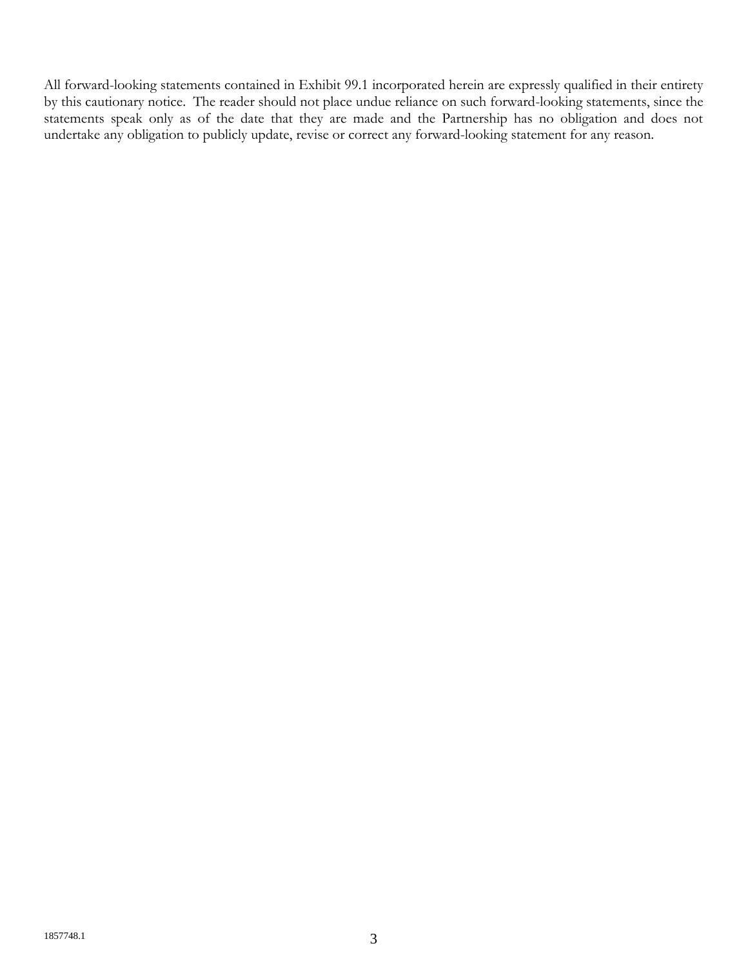All forward-looking statements contained in Exhibit 99.1 incorporated herein are expressly qualified in their entirety by this cautionary notice. The reader should not place undue reliance on such forward-looking statements, since the statements speak only as of the date that they are made and the Partnership has no obligation and does not undertake any obligation to publicly update, revise or correct any forward-looking statement for any reason.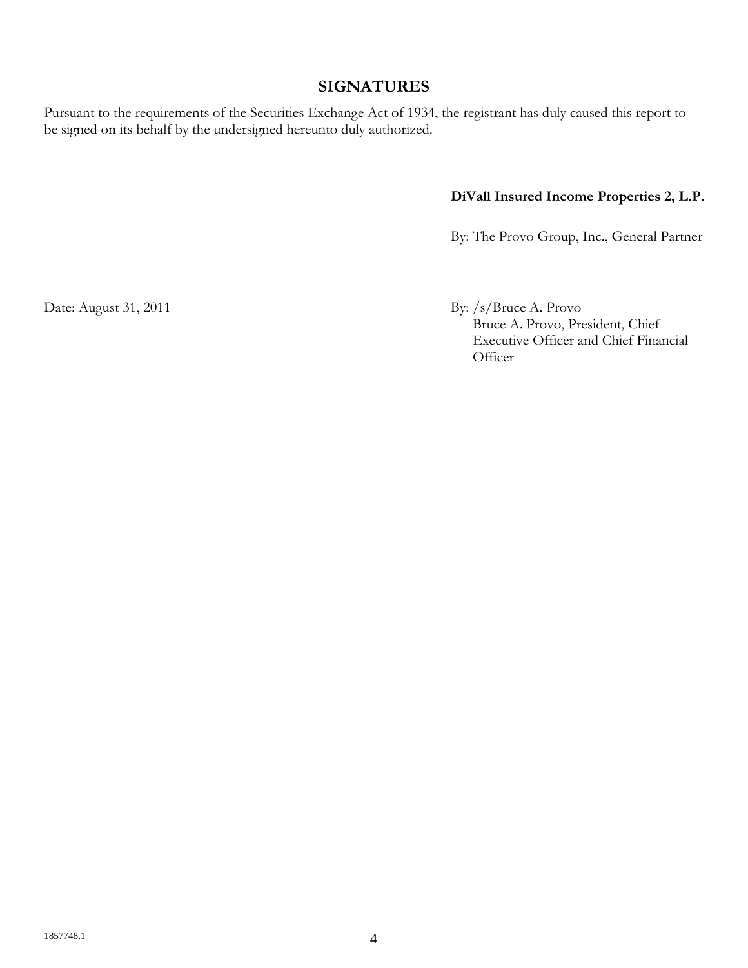# **SIGNATURES**

Pursuant to the requirements of the Securities Exchange Act of 1934, the registrant has duly caused this report to be signed on its behalf by the undersigned hereunto duly authorized.

# **DiVall Insured Income Properties 2, L.P.**

By: The Provo Group, Inc., General Partner

Date: August 31, 2011 By: /s/Bruce A. Provo Bruce A. Provo, President, Chief Executive Officer and Chief Financial **Officer**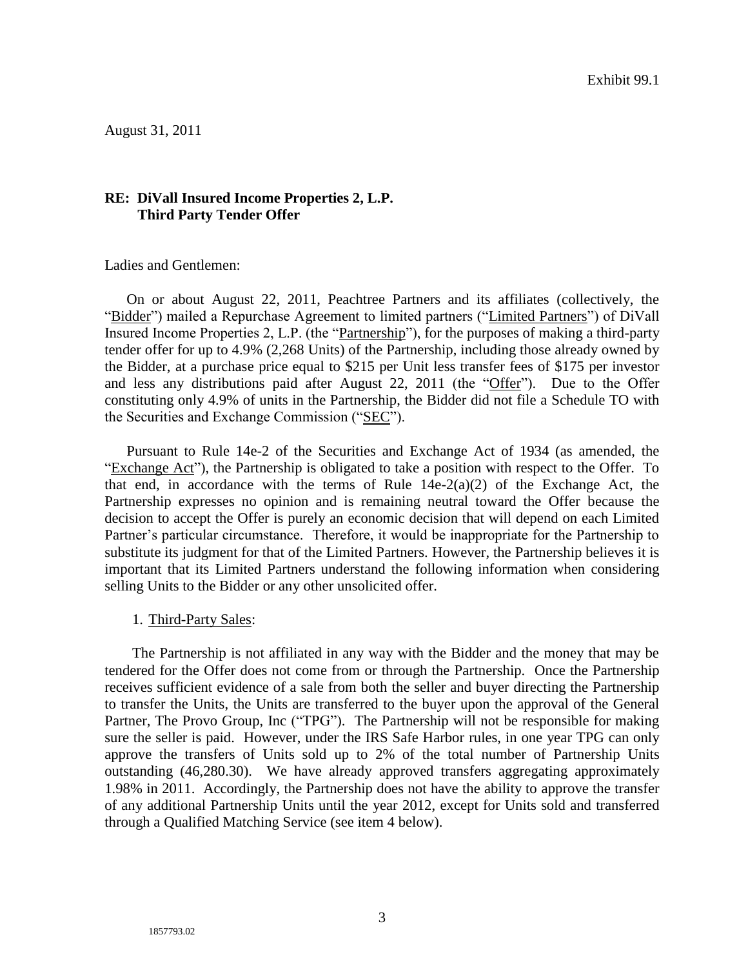August 31, 2011

#### **RE: DiVall Insured Income Properties 2, L.P. Third Party Tender Offer**

Ladies and Gentlemen:

On or about August 22, 2011, Peachtree Partners and its affiliates (collectively, the "Bidder") mailed a Repurchase Agreement to limited partners ("Limited Partners") of DiVall Insured Income Properties 2, L.P. (the "Partnership"), for the purposes of making a third-party tender offer for up to 4.9% (2,268 Units) of the Partnership, including those already owned by the Bidder, at a purchase price equal to \$215 per Unit less transfer fees of \$175 per investor and less any distributions paid after August 22, 2011 (the "Offer"). Due to the Offer constituting only 4.9% of units in the Partnership, the Bidder did not file a Schedule TO with the Securities and Exchange Commission ("SEC").

Pursuant to Rule 14e-2 of the Securities and Exchange Act of 1934 (as amended, the "Exchange Act"), the Partnership is obligated to take a position with respect to the Offer. To that end, in accordance with the terms of Rule  $14e-2(a)(2)$  of the Exchange Act, the Partnership expresses no opinion and is remaining neutral toward the Offer because the decision to accept the Offer is purely an economic decision that will depend on each Limited Partner's particular circumstance. Therefore, it would be inappropriate for the Partnership to substitute its judgment for that of the Limited Partners. However, the Partnership believes it is important that its Limited Partners understand the following information when considering selling Units to the Bidder or any other unsolicited offer.

1. Third-Party Sales:

The Partnership is not affiliated in any way with the Bidder and the money that may be tendered for the Offer does not come from or through the Partnership. Once the Partnership receives sufficient evidence of a sale from both the seller and buyer directing the Partnership to transfer the Units, the Units are transferred to the buyer upon the approval of the General Partner, The Provo Group, Inc ("TPG"). The Partnership will not be responsible for making sure the seller is paid. However, under the IRS Safe Harbor rules, in one year TPG can only approve the transfers of Units sold up to 2% of the total number of Partnership Units outstanding (46,280.30). We have already approved transfers aggregating approximately 1.98% in 2011. Accordingly, the Partnership does not have the ability to approve the transfer of any additional Partnership Units until the year 2012, except for Units sold and transferred through a Qualified Matching Service (see item 4 below).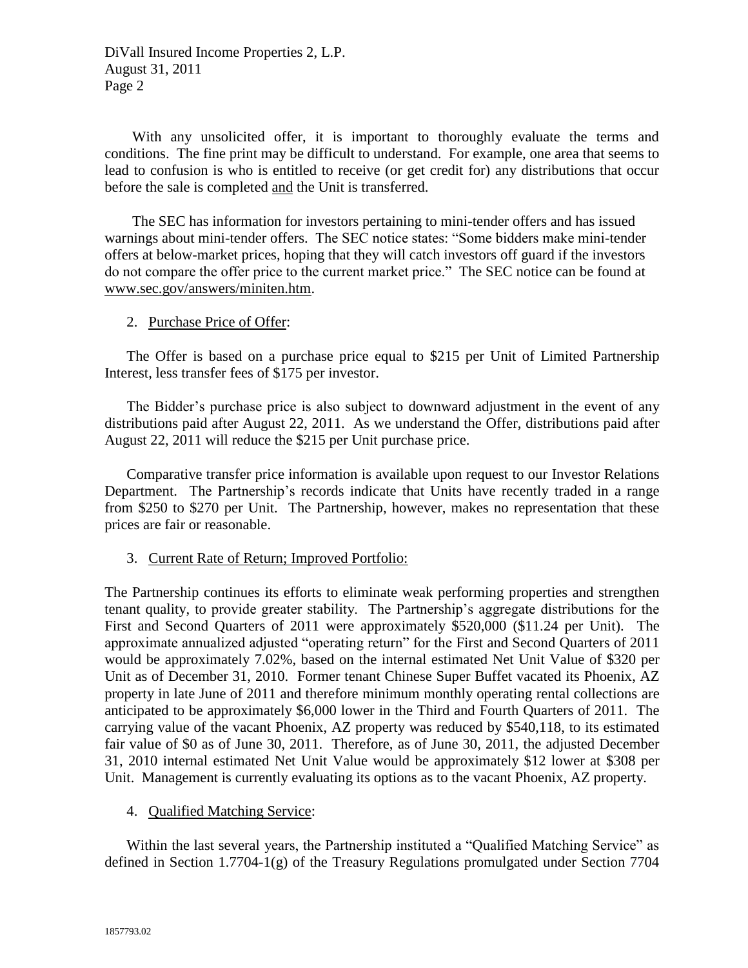DiVall Insured Income Properties 2, L.P. August 31, 2011 Page 2

With any unsolicited offer, it is important to thoroughly evaluate the terms and conditions. The fine print may be difficult to understand. For example, one area that seems to lead to confusion is who is entitled to receive (or get credit for) any distributions that occur before the sale is completed and the Unit is transferred.

The SEC has information for investors pertaining to mini-tender offers and has issued warnings about mini-tender offers. The SEC notice states: "Some bidders make mini-tender offers at below-market prices, hoping that they will catch investors off guard if the investors do not compare the offer price to the current market price." The SEC notice can be found at www.sec.gov/answers/miniten.htm.

#### 2. Purchase Price of Offer:

The Offer is based on a purchase price equal to \$215 per Unit of Limited Partnership Interest, less transfer fees of \$175 per investor.

The Bidder's purchase price is also subject to downward adjustment in the event of any distributions paid after August 22, 2011. As we understand the Offer, distributions paid after August 22, 2011 will reduce the \$215 per Unit purchase price.

Comparative transfer price information is available upon request to our Investor Relations Department. The Partnership's records indicate that Units have recently traded in a range from \$250 to \$270 per Unit. The Partnership, however, makes no representation that these prices are fair or reasonable.

#### 3. Current Rate of Return; Improved Portfolio:

The Partnership continues its efforts to eliminate weak performing properties and strengthen tenant quality, to provide greater stability. The Partnership's aggregate distributions for the First and Second Quarters of 2011 were approximately \$520,000 (\$11.24 per Unit). The approximate annualized adjusted "operating return" for the First and Second Quarters of 2011 would be approximately 7.02%, based on the internal estimated Net Unit Value of \$320 per Unit as of December 31, 2010. Former tenant Chinese Super Buffet vacated its Phoenix, AZ property in late June of 2011 and therefore minimum monthly operating rental collections are anticipated to be approximately \$6,000 lower in the Third and Fourth Quarters of 2011. The carrying value of the vacant Phoenix, AZ property was reduced by \$540,118, to its estimated fair value of \$0 as of June 30, 2011. Therefore, as of June 30, 2011, the adjusted December 31, 2010 internal estimated Net Unit Value would be approximately \$12 lower at \$308 per Unit. Management is currently evaluating its options as to the vacant Phoenix, AZ property.

#### 4. Qualified Matching Service:

Within the last several years, the Partnership instituted a "Qualified Matching Service" as defined in Section 1.7704-1(g) of the Treasury Regulations promulgated under Section 7704